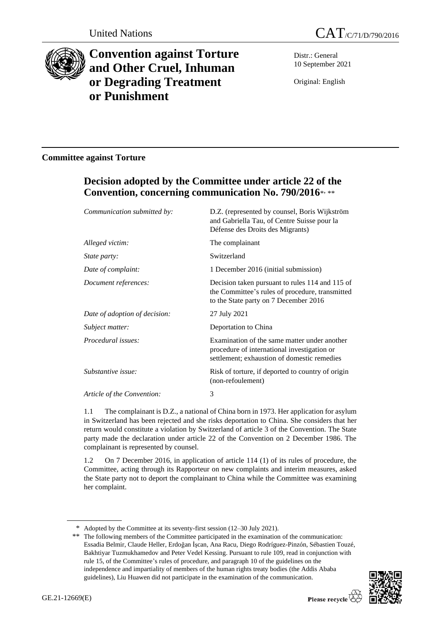



# **Convention against Torture and Other Cruel, Inhuman or Degrading Treatment or Punishment**

Distr.: General 10 September 2021

Original: English

### **Committee against Torture**

## **Decision adopted by the Committee under article 22 of the Convention, concerning communication No. 790/2016**\* , \*\*

| Communication submitted by:   | D.Z. (represented by counsel, Boris Wijkström<br>and Gabriella Tau, of Centre Suisse pour la<br>Défense des Droits des Migrants)            |
|-------------------------------|---------------------------------------------------------------------------------------------------------------------------------------------|
| Alleged victim:               | The complainant                                                                                                                             |
| <i>State party:</i>           | Switzerland                                                                                                                                 |
| Date of complaint:            | 1 December 2016 (initial submission)                                                                                                        |
| Document references:          | Decision taken pursuant to rules 114 and 115 of<br>the Committee's rules of procedure, transmitted<br>to the State party on 7 December 2016 |
| Date of adoption of decision: | 27 July 2021                                                                                                                                |
| Subject matter:               | Deportation to China                                                                                                                        |
| Procedural issues:            | Examination of the same matter under another<br>procedure of international investigation or<br>settlement; exhaustion of domestic remedies  |
| Substantive issue:            | Risk of torture, if deported to country of origin<br>(non-refoulement)                                                                      |
| Article of the Convention:    | 3                                                                                                                                           |
|                               |                                                                                                                                             |

1.1 The complainant is D.Z., a national of China born in 1973. Her application for asylum in Switzerland has been rejected and she risks deportation to China. She considers that her return would constitute a violation by Switzerland of article 3 of the Convention. The State party made the declaration under article 22 of the Convention on 2 December 1986. The complainant is represented by counsel.

1.2 On 7 December 2016, in application of article 114 (1) of its rules of procedure, the Committee, acting through its Rapporteur on new complaints and interim measures, asked the State party not to deport the complainant to China while the Committee was examining her complaint.

<sup>\*\*</sup> The following members of the Committee participated in the examination of the communication: Essadia Belmir, Claude Heller, Erdoğan İşcan, Ana Racu, Diego Rodríguez-Pinzón, Sébastien Touzé, Bakhtiyar Tuzmukhamedov and Peter Vedel Kessing. Pursuant to rule 109, read in conjunction with rule 15, of the Committee's rules of procedure, and paragraph 10 of the guidelines on the independence and impartiality of members of the human rights treaty bodies (the Addis Ababa guidelines), Liu Huawen did not participate in the examination of the communication.



<sup>\*</sup> Adopted by the Committee at its seventy-first session (12–30 July 2021).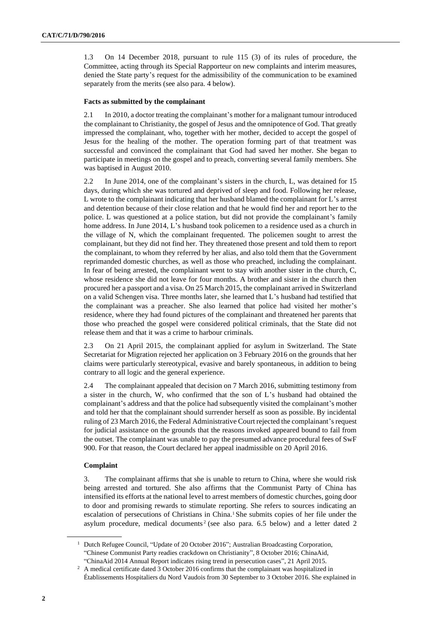1.3 On 14 December 2018, pursuant to rule 115 (3) of its rules of procedure, the Committee, acting through its Special Rapporteur on new complaints and interim measures, denied the State party's request for the admissibility of the communication to be examined separately from the merits (see also para. 4 below).

#### **Facts as submitted by the complainant**

2.1 In 2010, a doctor treating the complainant's mother for a malignant tumour introduced the complainant to Christianity, the gospel of Jesus and the omnipotence of God. That greatly impressed the complainant, who, together with her mother, decided to accept the gospel of Jesus for the healing of the mother. The operation forming part of that treatment was successful and convinced the complainant that God had saved her mother. She began to participate in meetings on the gospel and to preach, converting several family members. She was baptised in August 2010.

2.2 In June 2014, one of the complainant's sisters in the church, L, was detained for 15 days, during which she was tortured and deprived of sleep and food. Following her release, L wrote to the complainant indicating that her husband blamed the complainant for L's arrest and detention because of their close relation and that he would find her and report her to the police. L was questioned at a police station, but did not provide the complainant's family home address. In June 2014, L's husband took policemen to a residence used as a church in the village of N, which the complainant frequented. The policemen sought to arrest the complainant, but they did not find her. They threatened those present and told them to report the complainant, to whom they referred by her alias, and also told them that the Government reprimanded domestic churches, as well as those who preached, including the complainant. In fear of being arrested, the complainant went to stay with another sister in the church, C, whose residence she did not leave for four months. A brother and sister in the church then procured her a passport and a visa. On 25 March 2015, the complainant arrived in Switzerland on a valid Schengen visa. Three months later, she learned that L's husband had testified that the complainant was a preacher. She also learned that police had visited her mother's residence, where they had found pictures of the complainant and threatened her parents that those who preached the gospel were considered political criminals, that the State did not release them and that it was a crime to harbour criminals.

2.3 On 21 April 2015, the complainant applied for asylum in Switzerland. The State Secretariat for Migration rejected her application on 3 February 2016 on the grounds that her claims were particularly stereotypical, evasive and barely spontaneous, in addition to being contrary to all logic and the general experience.

2.4 The complainant appealed that decision on 7 March 2016, submitting testimony from a sister in the church, W, who confirmed that the son of L's husband had obtained the complainant's address and that the police had subsequently visited the complainant's mother and told her that the complainant should surrender herself as soon as possible. By incidental ruling of 23 March 2016, the Federal Administrative Court rejected the complainant'srequest for judicial assistance on the grounds that the reasons invoked appeared bound to fail from the outset. The complainant was unable to pay the presumed advance procedural fees of SwF 900. For that reason, the Court declared her appeal inadmissible on 20 April 2016.

#### **Complaint**

3. The complainant affirms that she is unable to return to China, where she would risk being arrested and tortured. She also affirms that the Communist Party of China has intensified its efforts at the national level to arrest members of domestic churches, going door to door and promising rewards to stimulate reporting. She refers to sources indicating an escalation of persecutions of Christians in China.<sup>1</sup> She submits copies of her file under the asylum procedure, medical documents<sup>2</sup> (see also para.  $6.5$  below) and a letter dated 2

<sup>&</sup>lt;sup>1</sup> Dutch Refugee Council, "Update of 20 October 2016"; Australian Broadcasting Corporation, "Chinese Communist Party readies crackdown on Christianity", 8 October 2016; ChinaAid, "ChinaAid 2014 Annual Report indicates rising trend in persecution cases", 21 April 2015.

<sup>&</sup>lt;sup>2</sup> A medical certificate dated 3 October 2016 confirms that the complainant was hospitalized in Établissements Hospitaliers du Nord Vaudois from 30 September to 3 October 2016. She explained in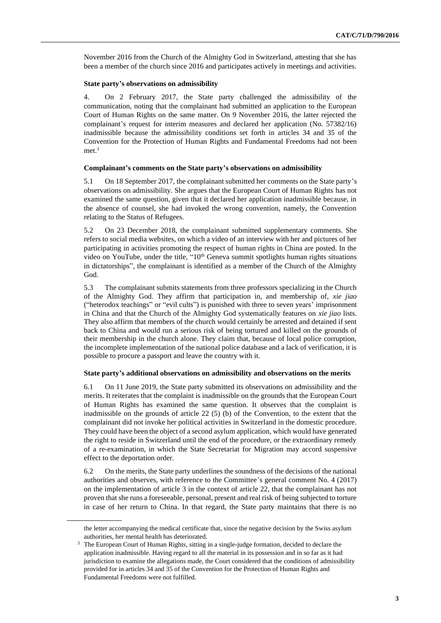November 2016 from the Church of the Almighty God in Switzerland, attesting that she has been a member of the church since 2016 and participates actively in meetings and activities.

#### **State party's observations on admissibility**

4. On 2 February 2017, the State party challenged the admissibility of the communication, noting that the complainant had submitted an application to the European Court of Human Rights on the same matter. On 9 November 2016, the latter rejected the complainant's request for interim measures and declared her application (No. 57382/16) inadmissible because the admissibility conditions set forth in articles 34 and 35 of the Convention for the Protection of Human Rights and Fundamental Freedoms had not been met.<sup>3</sup>

#### **Complainant's comments on the State party's observations on admissibility**

5.1 On 18 September 2017, the complainant submitted her comments on the State party's observations on admissibility. She argues that the European Court of Human Rights has not examined the same question, given that it declared her application inadmissible because, in the absence of counsel, she had invoked the wrong convention, namely, the Convention relating to the Status of Refugees.

5.2 On 23 December 2018, the complainant submitted supplementary comments. She refers to social media websites, on which a video of an interview with her and pictures of her participating in activities promoting the respect of human rights in China are posted. In the video on YouTube, under the title, "10<sup>th</sup> Geneva summit spotlights human rights situations in dictatorships", the complainant is identified as a member of the Church of the Almighty God.

5.3 The complainant submits statements from three professors specializing in the Church of the Almighty God. They affirm that participation in, and membership of, *xie jiao* ("heterodox teachings" or "evil cults") is punished with three to seven years' imprisonment in China and that the Church of the Almighty God systematically features on *xie jiao* lists. They also affirm that members of the church would certainly be arrested and detained if sent back to China and would run a serious risk of being tortured and killed on the grounds of their membership in the church alone. They claim that, because of local police corruption, the incomplete implementation of the national police database and a lack of verification, it is possible to procure a passport and leave the country with it.

#### **State party's additional observations on admissibility and observations on the merits**

6.1 On 11 June 2019, the State party submitted its observations on admissibility and the merits. It reiterates that the complaint is inadmissible on the grounds that the European Court of Human Rights has examined the same question. It observes that the complaint is inadmissible on the grounds of article  $22(5)$  (b) of the Convention, to the extent that the complainant did not invoke her political activities in Switzerland in the domestic procedure. They could have been the object of a second asylum application, which would have generated the right to reside in Switzerland until the end of the procedure, or the extraordinary remedy of a re-examination, in which the State Secretariat for Migration may accord suspensive effect to the deportation order.

6.2 On the merits, the State party underlines the soundness of the decisions of the national authorities and observes, with reference to the Committee's general comment No. 4 (2017) on the implementation of article 3 in the context of article 22, that the complainant has not proven that she runs a foreseeable, personal, present and real risk of being subjected to torture in case of her return to China. In that regard, the State party maintains that there is no

the letter accompanying the medical certificate that, since the negative decision by the Swiss asylum authorities, her mental health has deteriorated.

<sup>&</sup>lt;sup>3</sup> The European Court of Human Rights, sitting in a single-judge formation, decided to declare the application inadmissible. Having regard to all the material in its possession and in so far as it had jurisdiction to examine the allegations made, the Court considered that the conditions of admissibility provided for in articles 34 and 35 of the Convention for the Protection of Human Rights and Fundamental Freedoms were not fulfilled.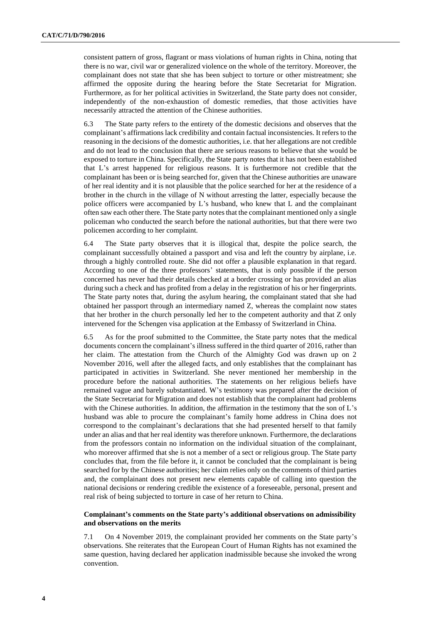consistent pattern of gross, flagrant or mass violations of human rights in China, noting that there is no war, civil war or generalized violence on the whole of the territory. Moreover, the complainant does not state that she has been subject to torture or other mistreatment; she affirmed the opposite during the hearing before the State Secretariat for Migration. Furthermore, as for her political activities in Switzerland, the State party does not consider, independently of the non-exhaustion of domestic remedies, that those activities have necessarily attracted the attention of the Chinese authorities.

6.3 The State party refers to the entirety of the domestic decisions and observes that the complainant's affirmations lack credibility and contain factual inconsistencies. It refers to the reasoning in the decisions of the domestic authorities, i.e. that her allegations are not credible and do not lead to the conclusion that there are serious reasons to believe that she would be exposed to torture in China. Specifically, the State party notes that it has not been established that L's arrest happened for religious reasons. It is furthermore not credible that the complainant has been or is being searched for, given that the Chinese authorities are unaware of her real identity and it is not plausible that the police searched for her at the residence of a brother in the church in the village of N without arresting the latter, especially because the police officers were accompanied by L's husband, who knew that L and the complainant often saw each other there. The State party notes that the complainant mentioned only a single policeman who conducted the search before the national authorities, but that there were two policemen according to her complaint.

6.4 The State party observes that it is illogical that, despite the police search, the complainant successfully obtained a passport and visa and left the country by airplane, i.e. through a highly controlled route. She did not offer a plausible explanation in that regard. According to one of the three professors' statements, that is only possible if the person concerned has never had their details checked at a border crossing or has provided an alias during such a check and has profited from a delay in the registration of his or her fingerprints. The State party notes that, during the asylum hearing, the complainant stated that she had obtained her passport through an intermediary named Z, whereas the complaint now states that her brother in the church personally led her to the competent authority and that Z only intervened for the Schengen visa application at the Embassy of Switzerland in China.

6.5 As for the proof submitted to the Committee, the State party notes that the medical documents concern the complainant's illness suffered in the third quarter of 2016, rather than her claim. The attestation from the Church of the Almighty God was drawn up on 2 November 2016, well after the alleged facts, and only establishes that the complainant has participated in activities in Switzerland. She never mentioned her membership in the procedure before the national authorities. The statements on her religious beliefs have remained vague and barely substantiated. W's testimony was prepared after the decision of the State Secretariat for Migration and does not establish that the complainant had problems with the Chinese authorities. In addition, the affirmation in the testimony that the son of L's husband was able to procure the complainant's family home address in China does not correspond to the complainant's declarations that she had presented herself to that family under an alias and that her real identity was therefore unknown. Furthermore, the declarations from the professors contain no information on the individual situation of the complainant, who moreover affirmed that she is not a member of a sect or religious group. The State party concludes that, from the file before it, it cannot be concluded that the complainant is being searched for by the Chinese authorities; her claim relies only on the comments of third parties and, the complainant does not present new elements capable of calling into question the national decisions or rendering credible the existence of a foreseeable, personal, present and real risk of being subjected to torture in case of her return to China.

#### **Complainant's comments on the State party's additional observations on admissibility and observations on the merits**

7.1 On 4 November 2019, the complainant provided her comments on the State party's observations. She reiterates that the European Court of Human Rights has not examined the same question, having declared her application inadmissible because she invoked the wrong convention.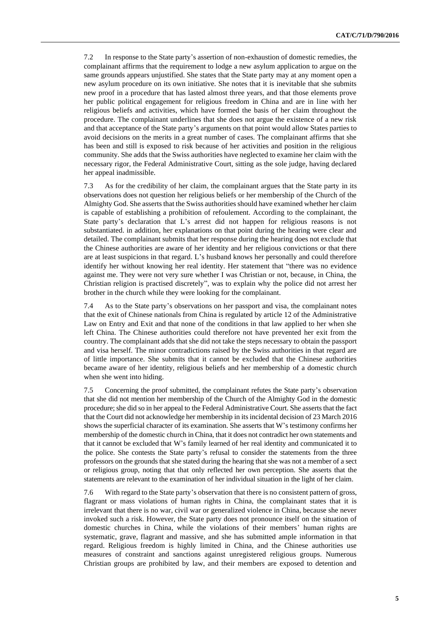7.2 In response to the State party's assertion of non-exhaustion of domestic remedies, the complainant affirms that the requirement to lodge a new asylum application to argue on the same grounds appears unjustified. She states that the State party may at any moment open a new asylum procedure on its own initiative. She notes that it is inevitable that she submits new proof in a procedure that has lasted almost three years, and that those elements prove her public political engagement for religious freedom in China and are in line with her religious beliefs and activities, which have formed the basis of her claim throughout the procedure. The complainant underlines that she does not argue the existence of a new risk and that acceptance of the State party's arguments on that point would allow States parties to avoid decisions on the merits in a great number of cases. The complainant affirms that she has been and still is exposed to risk because of her activities and position in the religious community. She adds that the Swiss authorities have neglected to examine her claim with the necessary rigor, the Federal Administrative Court, sitting as the sole judge, having declared her appeal inadmissible.

7.3 As for the credibility of her claim, the complainant argues that the State party in its observations does not question her religious beliefs or her membership of the Church of the Almighty God. She asserts that the Swiss authorities should have examined whether her claim is capable of establishing a prohibition of refoulement. According to the complainant, the State party's declaration that L's arrest did not happen for religious reasons is not substantiated. in addition, her explanations on that point during the hearing were clear and detailed. The complainant submits that her response during the hearing does not exclude that the Chinese authorities are aware of her identity and her religious convictions or that there are at least suspicions in that regard. L's husband knows her personally and could therefore identify her without knowing her real identity. Her statement that "there was no evidence against me. They were not very sure whether I was Christian or not, because, in China, the Christian religion is practised discretely", was to explain why the police did not arrest her brother in the church while they were looking for the complainant.

7.4 As to the State party's observations on her passport and visa, the complainant notes that the exit of Chinese nationals from China is regulated by article 12 of the Administrative Law on Entry and Exit and that none of the conditions in that law applied to her when she left China. The Chinese authorities could therefore not have prevented her exit from the country. The complainant adds that she did not take the steps necessary to obtain the passport and visa herself. The minor contradictions raised by the Swiss authorities in that regard are of little importance. She submits that it cannot be excluded that the Chinese authorities became aware of her identity, religious beliefs and her membership of a domestic church when she went into hiding.

7.5 Concerning the proof submitted, the complainant refutes the State party's observation that she did not mention her membership of the Church of the Almighty God in the domestic procedure; she did so in her appeal to the Federal Administrative Court. She asserts that the fact that the Court did not acknowledge her membership in its incidental decision of 23 March 2016 shows the superficial character of its examination. She asserts that W's testimony confirms her membership of the domestic church in China, that it does not contradict her own statements and that it cannot be excluded that W's family learned of her real identity and communicated it to the police. She contests the State party's refusal to consider the statements from the three professors on the grounds that she stated during the hearing that she was not a member of a sect or religious group, noting that that only reflected her own perception. She asserts that the statements are relevant to the examination of her individual situation in the light of her claim.

7.6 With regard to the State party's observation that there is no consistent pattern of gross, flagrant or mass violations of human rights in China, the complainant states that it is irrelevant that there is no war, civil war or generalized violence in China, because she never invoked such a risk. However, the State party does not pronounce itself on the situation of domestic churches in China, while the violations of their members' human rights are systematic, grave, flagrant and massive, and she has submitted ample information in that regard. Religious freedom is highly limited in China, and the Chinese authorities use measures of constraint and sanctions against unregistered religious groups. Numerous Christian groups are prohibited by law, and their members are exposed to detention and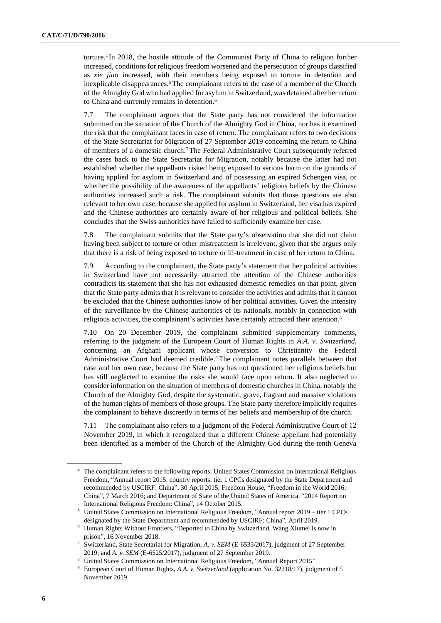torture.<sup>4</sup> In 2018, the hostile attitude of the Communist Party of China to religion further increased, conditions for religious freedom worsened and the persecution of groups classified as *xie jiao* increased, with their members being exposed to torture in detention and inexplicable disappearances.<sup>5</sup> The complainant refers to the case of a member of the Church of the Almighty God who had applied for asylum in Switzerland, was detained after her return to China and currently remains in detention.<sup>6</sup>

7.7 The complainant argues that the State party has not considered the information submitted on the situation of the Church of the Almighty God in China, nor has it examined the risk that the complainant faces in case of return. The complainant refers to two decisions of the State Secretariat for Migration of 27 September 2019 concerning the return to China of members of a domestic church.<sup>7</sup> The Federal Administrative Court subsequently referred the cases back to the State Secretariat for Migration, notably because the latter had not established whether the appellants risked being exposed to serious harm on the grounds of having applied for asylum in Switzerland and of possessing an expired Schengen visa, or whether the possibility of the awareness of the appellants' religious beliefs by the Chinese authorities increased such a risk. The complainant submits that those questions are also relevant to her own case, because she applied for asylum in Switzerland, her visa has expired and the Chinese authorities are certainly aware of her religious and political beliefs. She concludes that the Swiss authorities have failed to sufficiently examine her case.

7.8 The complainant submits that the State party's observation that she did not claim having been subject to torture or other mistreatment is irrelevant, given that she argues only that there is a risk of being exposed to torture or ill-treatment in case of her return to China.

7.9 According to the complainant, the State party's statement that her political activities in Switzerland have not necessarily attracted the attention of the Chinese authorities contradicts its statement that she has not exhausted domestic remedies on that point, given that the State party admits that it is relevant to consider the activities and admits that it cannot be excluded that the Chinese authorities know of her political activities. Given the intensity of the surveillance by the Chinese authorities of its nationals, notably in connection with religious activities, the complainant's activities have certainly attracted their attention.<sup>8</sup>

7.10 On 20 December 2019, the complainant submitted supplementary comments, referring to the judgment of the European Court of Human Rights in *A.A. v. Switzerland*, concerning an Afghani applicant whose conversion to Christianity the Federal Administrative Court had deemed credible.<sup>9</sup> The complainant notes parallels between that case and her own case, because the State party has not questioned her religious beliefs but has still neglected to examine the risks she would face upon return. It also neglected to consider information on the situation of members of domestic churches in China, notably the Church of the Almighty God, despite the systematic, grave, flagrant and massive violations of the human rights of members of those groups. The State party therefore implicitly requires the complainant to behave discreetly in terms of her beliefs and membership of the church.

7.11 The complainant also refers to a judgment of the Federal Administrative Court of 12 November 2019, in which it recognized that a different Chinese appellant had potentially been identified as a member of the Church of the Almighty God during the tenth Geneva

<sup>4</sup> The complainant refers to the following reports: United States Commission on International Religious Freedom, "Annual report 2015: country reports: tier 1 CPCs designated by the State Department and recommended by USCIRF: China", 30 April 2015; Freedom House, "Freedom in the World 2016: China", 7 March 2016; and Department of State of the United States of America, "2014 Report on International Religious Freedom: China", 14 October 2015.

<sup>5</sup> United States Commission on International Religious Freedom, "Annual report 2019 – tier 1 CPCs designated by the State Department and recommended by USCIRF: China", April 2019.

<sup>6</sup> Human Rights Without Frontiers, "Deported to China by Switzerland, Wang Xiumei is now in prison", 16 November 2018.

<sup>7</sup> Switzerland, State Secretariat for Migration, *A. v. SEM* (E-6533/2017), judgment of 27 September 2019; and *A. v. SEM* (E-6525/2017), judgment of 27 September 2019.

<sup>8</sup> United States Commission on International Religious Freedom, "Annual Report 2015".

<sup>9</sup> European Court of Human Rights, *A.A. v. Switzerland* (application No. 32218/17), judgment of 5 November 2019.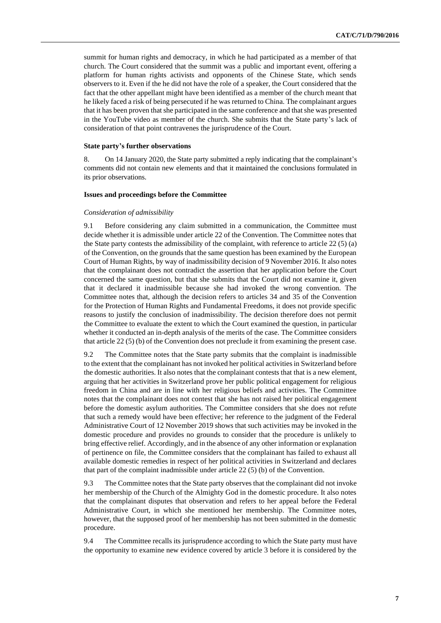summit for human rights and democracy, in which he had participated as a member of that church. The Court considered that the summit was a public and important event, offering a platform for human rights activists and opponents of the Chinese State, which sends observers to it. Even if the he did not have the role of a speaker, the Court considered that the fact that the other appellant might have been identified as a member of the church meant that he likely faced a risk of being persecuted if he was returned to China. The complainant argues that it has been proven that she participated in the same conference and that she was presented in the YouTube video as member of the church. She submits that the State party's lack of consideration of that point contravenes the jurisprudence of the Court.

#### **State party's further observations**

8. On 14 January 2020, the State party submitted a reply indicating that the complainant's comments did not contain new elements and that it maintained the conclusions formulated in its prior observations.

#### **Issues and proceedings before the Committee**

#### *Consideration of admissibility*

9.1 Before considering any claim submitted in a communication, the Committee must decide whether it is admissible under article 22 of the Convention. The Committee notes that the State party contests the admissibility of the complaint, with reference to article 22  $(5)$  (a) of the Convention, on the grounds that the same question has been examined by the European Court of Human Rights, by way of inadmissibility decision of 9 November 2016. It also notes that the complainant does not contradict the assertion that her application before the Court concerned the same question, but that she submits that the Court did not examine it, given that it declared it inadmissible because she had invoked the wrong convention. The Committee notes that, although the decision refers to articles 34 and 35 of the Convention for the Protection of Human Rights and Fundamental Freedoms, it does not provide specific reasons to justify the conclusion of inadmissibility. The decision therefore does not permit the Committee to evaluate the extent to which the Court examined the question, in particular whether it conducted an in-depth analysis of the merits of the case. The Committee considers that article 22 (5) (b) of the Convention does not preclude it from examining the present case.

9.2 The Committee notes that the State party submits that the complaint is inadmissible to the extent that the complainant has not invoked her political activities in Switzerland before the domestic authorities. It also notes that the complainant contests that that is a new element, arguing that her activities in Switzerland prove her public political engagement for religious freedom in China and are in line with her religious beliefs and activities. The Committee notes that the complainant does not contest that she has not raised her political engagement before the domestic asylum authorities. The Committee considers that she does not refute that such a remedy would have been effective; her reference to the judgment of the Federal Administrative Court of 12 November 2019 shows that such activities may be invoked in the domestic procedure and provides no grounds to consider that the procedure is unlikely to bring effective relief. Accordingly, and in the absence of any other information or explanation of pertinence on file, the Committee considers that the complainant has failed to exhaust all available domestic remedies in respect of her political activities in Switzerland and declares that part of the complaint inadmissible under article 22 (5) (b) of the Convention.

9.3 The Committee notes that the State party observes that the complainant did not invoke her membership of the Church of the Almighty God in the domestic procedure. It also notes that the complainant disputes that observation and refers to her appeal before the Federal Administrative Court, in which she mentioned her membership. The Committee notes, however, that the supposed proof of her membership has not been submitted in the domestic procedure.

9.4 The Committee recalls its jurisprudence according to which the State party must have the opportunity to examine new evidence covered by article 3 before it is considered by the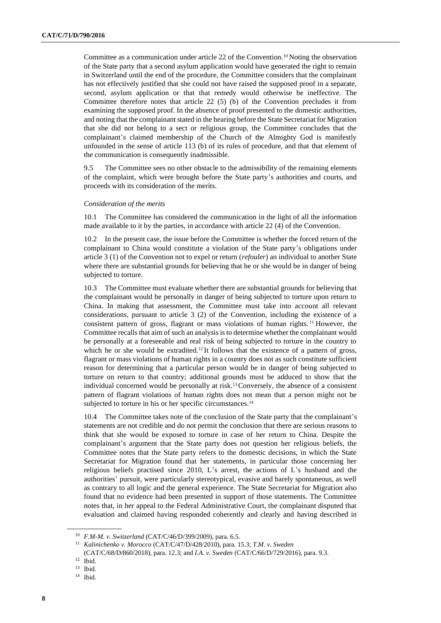Committee as a communication under article 22 of the Convention.<sup>10</sup> Noting the observation of the State party that a second asylum application would have generated the right to remain in Switzerland until the end of the procedure, the Committee considers that the complainant has not effectively justified that she could not have raised the supposed proof in a separate, second, asylum application or that that remedy would otherwise be ineffective. The Committee therefore notes that article 22 (5) (b) of the Convention precludes it from examining the supposed proof. In the absence of proof presented to the domestic authorities, and noting that the complainant stated in the hearing before the State Secretariat for Migration that she did not belong to a sect or religious group, the Committee concludes that the complainant's claimed membership of the Church of the Almighty God is manifestly unfounded in the sense of article 113 (b) of its rules of procedure, and that that element of the communication is consequently inadmissible.

9.5 The Committee sees no other obstacle to the admissibility of the remaining elements of the complaint, which were brought before the State party's authorities and courts, and proceeds with its consideration of the merits.

#### *Consideration of the merits*

10.1 The Committee has considered the communication in the light of all the information made available to it by the parties, in accordance with article 22 (4) of the Convention.

10.2 In the present case, the issue before the Committee is whether the forced return of the complainant to China would constitute a violation of the State party's obligations under article 3 (1) of the Convention not to expel or return (*refouler*) an individual to another State where there are substantial grounds for believing that he or she would be in danger of being subjected to torture.

10.3 The Committee must evaluate whether there are substantial grounds for believing that the complainant would be personally in danger of being subjected to torture upon return to China. In making that assessment, the Committee must take into account all relevant considerations, pursuant to article 3 (2) of the Convention, including the existence of a consistent pattern of gross, flagrant or mass violations of human rights. <sup>11</sup> However, the Committee recalls that aim of such an analysis is to determine whether the complainant would be personally at a foreseeable and real risk of being subjected to torture in the country to which he or she would be extradited.<sup>12</sup>It follows that the existence of a pattern of gross, flagrant or mass violations of human rights in a country does not as such constitute sufficient reason for determining that a particular person would be in danger of being subjected to torture on return to that country; additional grounds must be adduced to show that the individual concerned would be personally at risk.13Conversely, the absence of a consistent pattern of flagrant violations of human rights does not mean that a person might not be subjected to torture in his or her specific circumstances.<sup>14</sup>

10.4 The Committee takes note of the conclusion of the State party that the complainant's statements are not credible and do not permit the conclusion that there are serious reasons to think that she would be exposed to torture in case of her return to China. Despite the complainant's argument that the State party does not question her religious beliefs, the Committee notes that the State party refers to the domestic decisions, in which the State Secretariat for Migration found that her statements, in particular those concerning her religious beliefs practised since 2010, L's arrest, the actions of L's husband and the authorities' pursuit, were particularly stereotypical, evasive and barely spontaneous, as well as contrary to all logic and the general experience. The State Secretariat for Migration also found that no evidence had been presented in support of those statements. The Committee notes that, in her appeal to the Federal Administrative Court, the complainant disputed that evaluation and claimed having responded coherently and clearly and having described in

<sup>10</sup> *F.M-M. v. Switzerland* (CAT/C/46/D/399/2009), para. 6.5.

<sup>11</sup> *Kalinichenko v. Morocco* (CAT/C/47/D/428/2010), para. 15.3; *T.M. v. Sweden* 

<sup>(</sup>CAT/C/68/D/860/2018), para. 12.3; and *I.A. v. Sweden* (CAT/C/66/D/729/2016), para. 9.3.

<sup>12</sup> Ibid.

<sup>13</sup> Ibid.

<sup>14</sup> Ibid.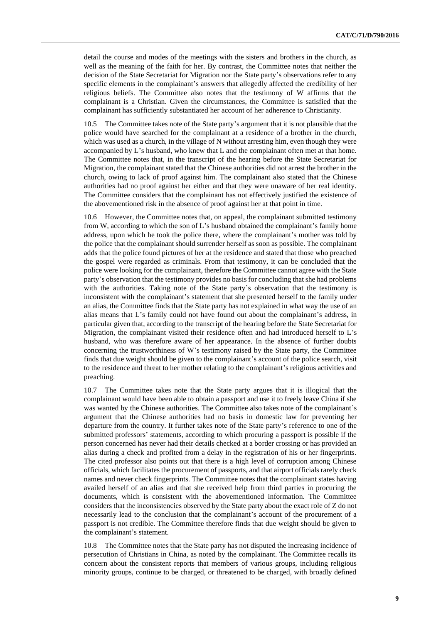detail the course and modes of the meetings with the sisters and brothers in the church, as well as the meaning of the faith for her. By contrast, the Committee notes that neither the decision of the State Secretariat for Migration nor the State party's observations refer to any specific elements in the complainant's answers that allegedly affected the credibility of her religious beliefs. The Committee also notes that the testimony of W affirms that the complainant is a Christian. Given the circumstances, the Committee is satisfied that the complainant has sufficiently substantiated her account of her adherence to Christianity.

10.5 The Committee takes note of the State party's argument that it is not plausible that the police would have searched for the complainant at a residence of a brother in the church, which was used as a church, in the village of N without arresting him, even though they were accompanied by L's husband, who knew that L and the complainant often met at that home. The Committee notes that, in the transcript of the hearing before the State Secretariat for Migration, the complainant stated that the Chinese authorities did not arrest the brother in the church, owing to lack of proof against him. The complainant also stated that the Chinese authorities had no proof against her either and that they were unaware of her real identity. The Committee considers that the complainant has not effectively justified the existence of the abovementioned risk in the absence of proof against her at that point in time.

10.6 However, the Committee notes that, on appeal, the complainant submitted testimony from W, according to which the son of L's husband obtained the complainant's family home address, upon which he took the police there, where the complainant's mother was told by the police that the complainant should surrender herself as soon as possible. The complainant adds that the police found pictures of her at the residence and stated that those who preached the gospel were regarded as criminals. From that testimony, it can be concluded that the police were looking for the complainant, therefore the Committee cannot agree with the State party's observation that the testimony provides no basis for concluding that she had problems with the authorities. Taking note of the State party's observation that the testimony is inconsistent with the complainant's statement that she presented herself to the family under an alias, the Committee finds that the State party has not explained in what way the use of an alias means that L's family could not have found out about the complainant's address, in particular given that, according to the transcript of the hearing before the State Secretariat for Migration, the complainant visited their residence often and had introduced herself to L's husband, who was therefore aware of her appearance. In the absence of further doubts concerning the trustworthiness of W's testimony raised by the State party, the Committee finds that due weight should be given to the complainant's account of the police search, visit to the residence and threat to her mother relating to the complainant's religious activities and preaching.

10.7 The Committee takes note that the State party argues that it is illogical that the complainant would have been able to obtain a passport and use it to freely leave China if she was wanted by the Chinese authorities. The Committee also takes note of the complainant's argument that the Chinese authorities had no basis in domestic law for preventing her departure from the country. It further takes note of the State party's reference to one of the submitted professors' statements, according to which procuring a passport is possible if the person concerned has never had their details checked at a border crossing or has provided an alias during a check and profited from a delay in the registration of his or her fingerprints. The cited professor also points out that there is a high level of corruption among Chinese officials, which facilitates the procurement of passports, and that airport officials rarely check names and never check fingerprints. The Committee notes that the complainant states having availed herself of an alias and that she received help from third parties in procuring the documents, which is consistent with the abovementioned information. The Committee considers that the inconsistencies observed by the State party about the exact role of Z do not necessarily lead to the conclusion that the complainant's account of the procurement of a passport is not credible. The Committee therefore finds that due weight should be given to the complainant's statement.

10.8 The Committee notes that the State party has not disputed the increasing incidence of persecution of Christians in China, as noted by the complainant. The Committee recalls its concern about the consistent reports that members of various groups, including religious minority groups, continue to be charged, or threatened to be charged, with broadly defined